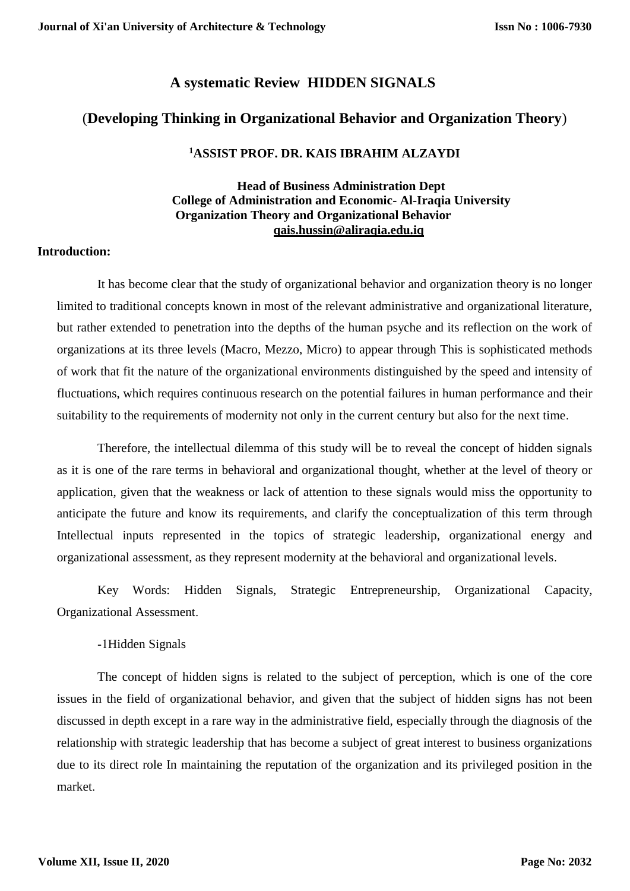# **A systematic Review HIDDEN SIGNALS**

# (**Developing Thinking in Organizational Behavior and Organization Theory**)

# **<sup>1</sup>ASSIST PROF. DR. KAIS IBRAHIM ALZAYDI**

# **Head of Business Administration Dept College of Administration and Economic- Al-Iraqia University Organization Theory and Organizational Behavior [qais.hussin@aliraqia.edu.iq](mailto:qais.hussin@aliraqia.edu.iq)**

# **Introduction:**

It has become clear that the study of organizational behavior and organization theory is no longer limited to traditional concepts known in most of the relevant administrative and organizational literature, but rather extended to penetration into the depths of the human psyche and its reflection on the work of organizations at its three levels (Macro, Mezzo, Micro) to appear through This is sophisticated methods of work that fit the nature of the organizational environments distinguished by the speed and intensity of fluctuations, which requires continuous research on the potential failures in human performance and their suitability to the requirements of modernity not only in the current century but also for the next time.

Therefore, the intellectual dilemma of this study will be to reveal the concept of hidden signals as it is one of the rare terms in behavioral and organizational thought, whether at the level of theory or application, given that the weakness or lack of attention to these signals would miss the opportunity to anticipate the future and know its requirements, and clarify the conceptualization of this term through Intellectual inputs represented in the topics of strategic leadership, organizational energy and organizational assessment, as they represent modernity at the behavioral and organizational levels.

Key Words: Hidden Signals, Strategic Entrepreneurship, Organizational Capacity, Organizational Assessment.

## -1Hidden Signals

The concept of hidden signs is related to the subject of perception, which is one of the core issues in the field of organizational behavior, and given that the subject of hidden signs has not been discussed in depth except in a rare way in the administrative field, especially through the diagnosis of the relationship with strategic leadership that has become a subject of great interest to business organizations due to its direct role In maintaining the reputation of the organization and its privileged position in the market.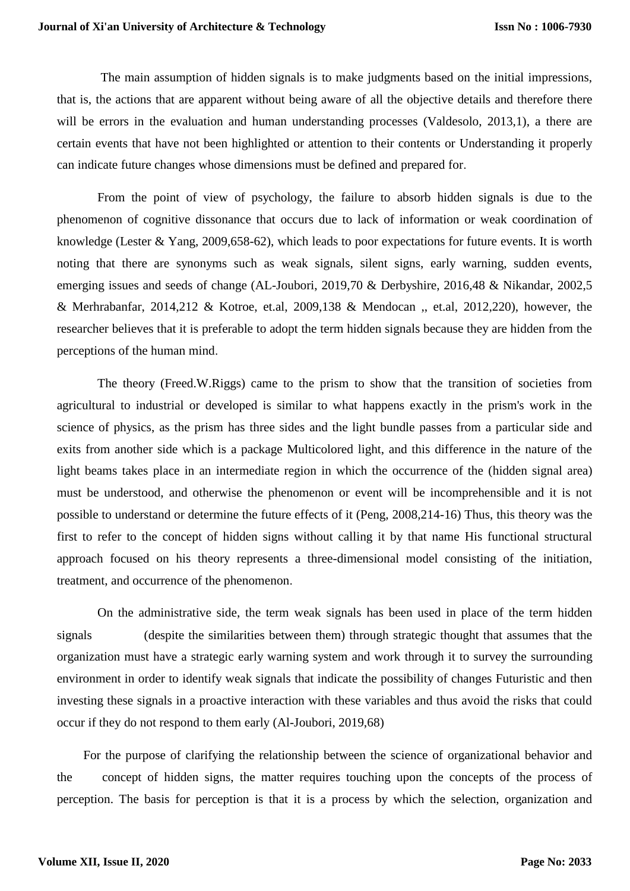The main assumption of hidden signals is to make judgments based on the initial impressions, that is, the actions that are apparent without being aware of all the objective details and therefore there will be errors in the evaluation and human understanding processes (Valdesolo, 2013,1), a there are certain events that have not been highlighted or attention to their contents or Understanding it properly can indicate future changes whose dimensions must be defined and prepared for.

From the point of view of psychology, the failure to absorb hidden signals is due to the phenomenon of cognitive dissonance that occurs due to lack of information or weak coordination of knowledge (Lester & Yang, 2009,658-62), which leads to poor expectations for future events. It is worth noting that there are synonyms such as weak signals, silent signs, early warning, sudden events, emerging issues and seeds of change (AL-Joubori, 2019,70 & Derbyshire, 2016,48 & Nikandar, 2002,5 & Merhrabanfar, 2014,212 & Kotroe, et.al, 2009,138 & Mendocan ,, et.al, 2012,220), however, the researcher believes that it is preferable to adopt the term hidden signals because they are hidden from the perceptions of the human mind.

The theory (Freed.W.Riggs) came to the prism to show that the transition of societies from agricultural to industrial or developed is similar to what happens exactly in the prism's work in the science of physics, as the prism has three sides and the light bundle passes from a particular side and exits from another side which is a package Multicolored light, and this difference in the nature of the light beams takes place in an intermediate region in which the occurrence of the (hidden signal area) must be understood, and otherwise the phenomenon or event will be incomprehensible and it is not possible to understand or determine the future effects of it (Peng, 2008,214-16) Thus, this theory was the first to refer to the concept of hidden signs without calling it by that name His functional structural approach focused on his theory represents a three-dimensional model consisting of the initiation, treatment, and occurrence of the phenomenon.

On the administrative side, the term weak signals has been used in place of the term hidden signals (despite the similarities between them) through strategic thought that assumes that the organization must have a strategic early warning system and work through it to survey the surrounding environment in order to identify weak signals that indicate the possibility of changes Futuristic and then investing these signals in a proactive interaction with these variables and thus avoid the risks that could occur if they do not respond to them early (Al-Joubori, 2019,68)

 For the purpose of clarifying the relationship between the science of organizational behavior and the concept of hidden signs, the matter requires touching upon the concepts of the process of perception. The basis for perception is that it is a process by which the selection, organization and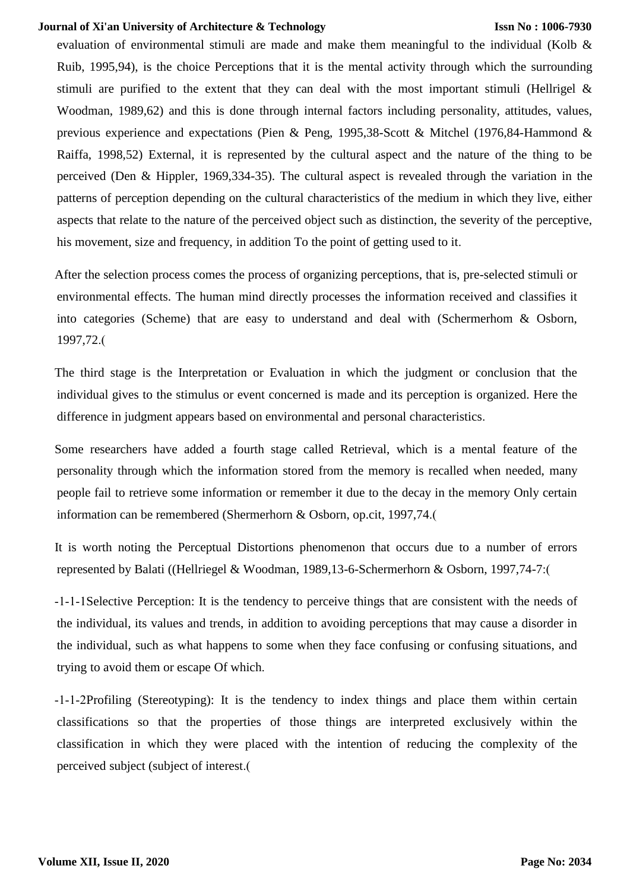#### **Issn No : 1006-7930**

evaluation of environmental stimuli are made and make them meaningful to the individual (Kolb & Ruib, 1995,94), is the choice Perceptions that it is the mental activity through which the surrounding stimuli are purified to the extent that they can deal with the most important stimuli (Hellrigel  $\&$ Woodman, 1989,62) and this is done through internal factors including personality, attitudes, values, previous experience and expectations (Pien & Peng, 1995,38-Scott & Mitchel (1976,84-Hammond & Raiffa, 1998,52) External, it is represented by the cultural aspect and the nature of the thing to be perceived (Den & Hippler, 1969,334-35). The cultural aspect is revealed through the variation in the patterns of perception depending on the cultural characteristics of the medium in which they live, either aspects that relate to the nature of the perceived object such as distinction, the severity of the perceptive, his movement, size and frequency, in addition To the point of getting used to it.

After the selection process comes the process of organizing perceptions, that is, pre-selected stimuli or environmental effects. The human mind directly processes the information received and classifies it into categories (Scheme) that are easy to understand and deal with (Schermerhom & Osborn, 1997,72.)

The third stage is the Interpretation or Evaluation in which the judgment or conclusion that the individual gives to the stimulus or event concerned is made and its perception is organized. Here the difference in judgment appears based on environmental and personal characteristics.

Some researchers have added a fourth stage called Retrieval, which is a mental feature of the personality through which the information stored from the memory is recalled when needed, many people fail to retrieve some information or remember it due to the decay in the memory Only certain information can be remembered (Shermerhorn & Osborn, op.cit, 1997,74.(

It is worth noting the Perceptual Distortions phenomenon that occurs due to a number of errors represented by Balati ((Hellriegel & Woodman, 1989,13-6-Schermerhorn & Osborn, 1997,74-7:)

-1-1-1Selective Perception: It is the tendency to perceive things that are consistent with the needs of the individual, its values and trends, in addition to avoiding perceptions that may cause a disorder in the individual, such as what happens to some when they face confusing or confusing situations, and trying to avoid them or escape Of which.

-1-1-2Profiling (Stereotyping): It is the tendency to index things and place them within certain classifications so that the properties of those things are interpreted exclusively within the classification in which they were placed with the intention of reducing the complexity of the perceived subject (subject of interest.)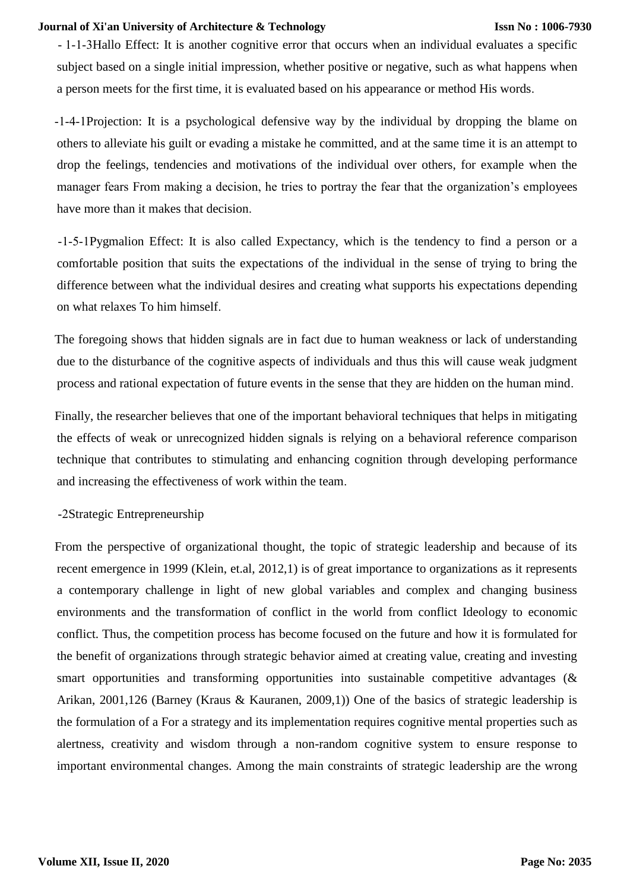- 1-1-3Hallo Effect: It is another cognitive error that occurs when an individual evaluates a specific subject based on a single initial impression, whether positive or negative, such as what happens when a person meets for the first time, it is evaluated based on his appearance or method His words.

-1-4-1Projection: It is a psychological defensive way by the individual by dropping the blame on others to alleviate his guilt or evading a mistake he committed, and at the same time it is an attempt to drop the feelings, tendencies and motivations of the individual over others, for example when the manager fears From making a decision, he tries to portray the fear that the organization's employees have more than it makes that decision.

-1-5-1Pygmalion Effect: It is also called Expectancy, which is the tendency to find a person or a comfortable position that suits the expectations of the individual in the sense of trying to bring the difference between what the individual desires and creating what supports his expectations depending on what relaxes To him himself.

The foregoing shows that hidden signals are in fact due to human weakness or lack of understanding due to the disturbance of the cognitive aspects of individuals and thus this will cause weak judgment process and rational expectation of future events in the sense that they are hidden on the human mind.

Finally, the researcher believes that one of the important behavioral techniques that helps in mitigating the effects of weak or unrecognized hidden signals is relying on a behavioral reference comparison technique that contributes to stimulating and enhancing cognition through developing performance and increasing the effectiveness of work within the team.

## -2Strategic Entrepreneurship

From the perspective of organizational thought, the topic of strategic leadership and because of its recent emergence in 1999 (Klein, et.al, 2012,1) is of great importance to organizations as it represents a contemporary challenge in light of new global variables and complex and changing business environments and the transformation of conflict in the world from conflict Ideology to economic conflict. Thus, the competition process has become focused on the future and how it is formulated for the benefit of organizations through strategic behavior aimed at creating value, creating and investing smart opportunities and transforming opportunities into sustainable competitive advantages ( $\&$ Arikan, 2001,126 (Barney (Kraus & Kauranen, 2009,1)) One of the basics of strategic leadership is the formulation of a For a strategy and its implementation requires cognitive mental properties such as alertness, creativity and wisdom through a non-random cognitive system to ensure response to important environmental changes. Among the main constraints of strategic leadership are the wrong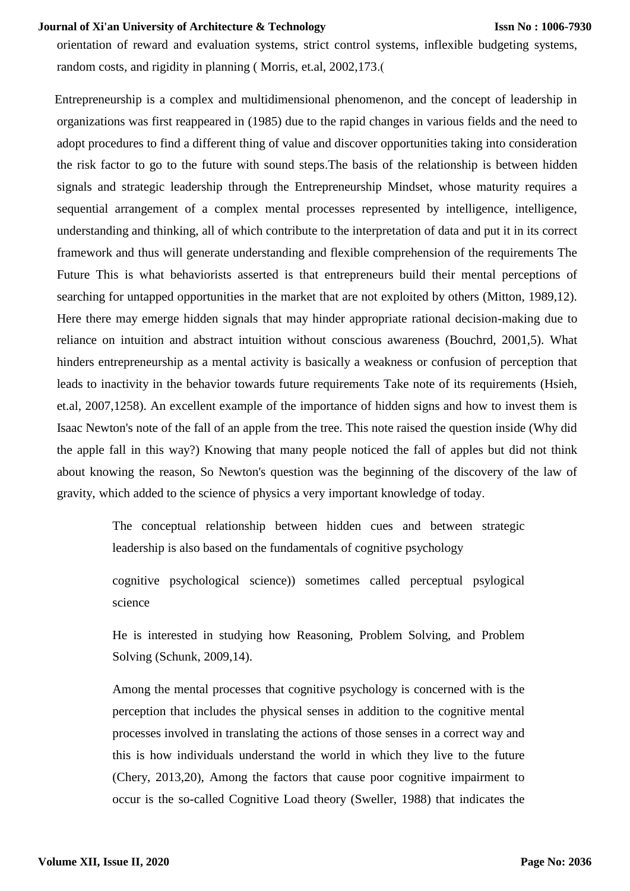orientation of reward and evaluation systems, strict control systems, inflexible budgeting systems, random costs, and rigidity in planning (Morris, et.al, 2002, 173.

Entrepreneurship is a complex and multidimensional phenomenon, and the concept of leadership in organizations was first reappeared in (1985) due to the rapid changes in various fields and the need to adopt procedures to find a different thing of value and discover opportunities taking into consideration the risk factor to go to the future with sound steps.The basis of the relationship is between hidden signals and strategic leadership through the Entrepreneurship Mindset, whose maturity requires a sequential arrangement of a complex mental processes represented by intelligence, intelligence, understanding and thinking, all of which contribute to the interpretation of data and put it in its correct framework and thus will generate understanding and flexible comprehension of the requirements The Future This is what behaviorists asserted is that entrepreneurs build their mental perceptions of searching for untapped opportunities in the market that are not exploited by others (Mitton, 1989,12). Here there may emerge hidden signals that may hinder appropriate rational decision-making due to reliance on intuition and abstract intuition without conscious awareness (Bouchrd, 2001,5). What hinders entrepreneurship as a mental activity is basically a weakness or confusion of perception that leads to inactivity in the behavior towards future requirements Take note of its requirements (Hsieh, et.al, 2007,1258). An excellent example of the importance of hidden signs and how to invest them is Isaac Newton's note of the fall of an apple from the tree. This note raised the question inside (Why did the apple fall in this way?) Knowing that many people noticed the fall of apples but did not think about knowing the reason, So Newton's question was the beginning of the discovery of the law of gravity, which added to the science of physics a very important knowledge of today.

> The conceptual relationship between hidden cues and between strategic leadership is also based on the fundamentals of cognitive psychology

> cognitive psychological science)) sometimes called perceptual psylogical science

> He is interested in studying how Reasoning, Problem Solving, and Problem Solving (Schunk, 2009,14).

> Among the mental processes that cognitive psychology is concerned with is the perception that includes the physical senses in addition to the cognitive mental processes involved in translating the actions of those senses in a correct way and this is how individuals understand the world in which they live to the future (Chery, 2013,20), Among the factors that cause poor cognitive impairment to occur is the so-called Cognitive Load theory (Sweller, 1988) that indicates the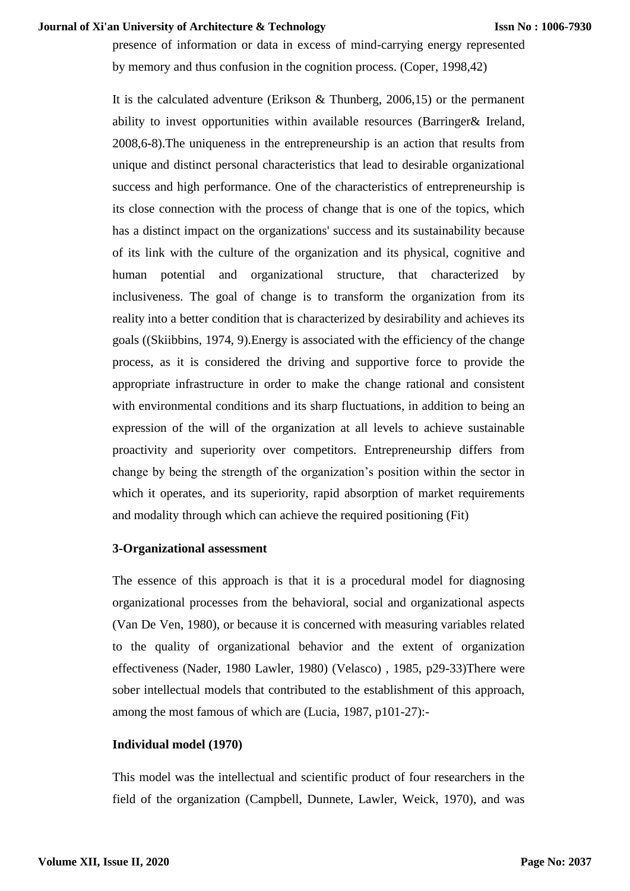presence of information or data in excess of mind-carrying energy represented by memory and thus confusion in the cognition process. (Coper, 1998,42)

It is the calculated adventure (Erikson & Thunberg, 2006,15) or the permanent ability to invest opportunities within available resources (Barringer& Ireland, 2008,6-8).The uniqueness in the entrepreneurship is an action that results from unique and distinct personal characteristics that lead to desirable organizational success and high performance. One of the characteristics of entrepreneurship is its close connection with the process of change that is one of the topics, which has a distinct impact on the organizations' success and its sustainability because of its link with the culture of the organization and its physical, cognitive and human potential and organizational structure, that characterized by inclusiveness. The goal of change is to transform the organization from its reality into a better condition that is characterized by desirability and achieves its goals ((Skiibbins, 1974, 9).Energy is associated with the efficiency of the change process, as it is considered the driving and supportive force to provide the appropriate infrastructure in order to make the change rational and consistent with environmental conditions and its sharp fluctuations, in addition to being an expression of the will of the organization at all levels to achieve sustainable proactivity and superiority over competitors. Entrepreneurship differs from change by being the strength of the organization's position within the sector in which it operates, and its superiority, rapid absorption of market requirements and modality through which can achieve the required positioning (Fit)

#### **3-Organizational assessment**

The essence of this approach is that it is a procedural model for diagnosing organizational processes from the behavioral, social and organizational aspects (Van De Ven, 1980), or because it is concerned with measuring variables related to the quality of organizational behavior and the extent of organization effectiveness (Nader, 1980 Lawler, 1980) (Velasco) , 1985, p29-33)There were sober intellectual models that contributed to the establishment of this approach, among the most famous of which are (Lucia, 1987, p101-27):-

## **Individual model (1970)**

This model was the intellectual and scientific product of four researchers in the field of the organization (Campbell, Dunnete, Lawler, Weick, 1970), and was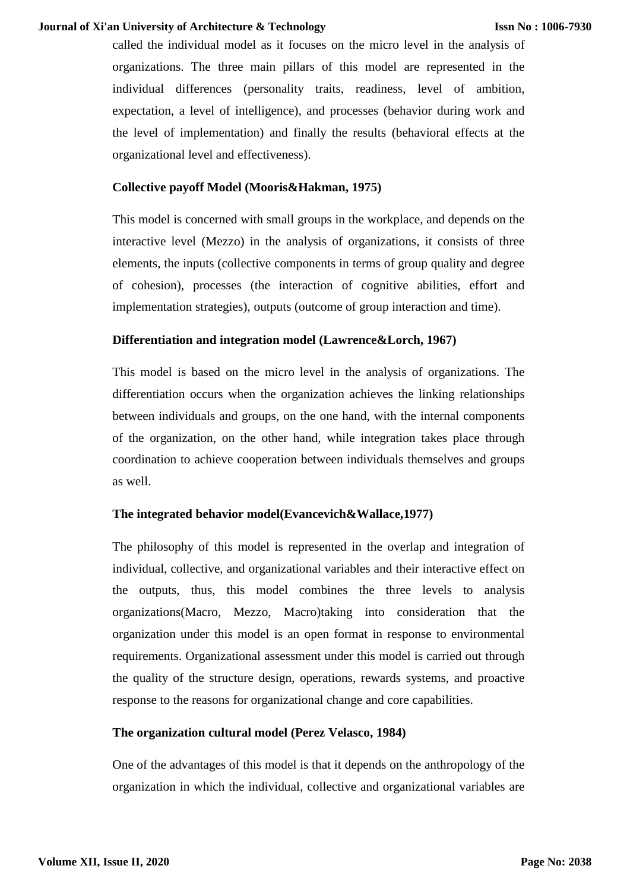called the individual model as it focuses on the micro level in the analysis of organizations. The three main pillars of this model are represented in the individual differences (personality traits, readiness, level of ambition, expectation, a level of intelligence), and processes (behavior during work and the level of implementation) and finally the results (behavioral effects at the organizational level and effectiveness).

# **Collective payoff Model (Mooris&Hakman, 1975)**

This model is concerned with small groups in the workplace, and depends on the interactive level (Mezzo) in the analysis of organizations, it consists of three elements, the inputs (collective components in terms of group quality and degree of cohesion), processes (the interaction of cognitive abilities, effort and implementation strategies), outputs (outcome of group interaction and time).

# **Differentiation and integration model (Lawrence&Lorch, 1967)**

This model is based on the micro level in the analysis of organizations. The differentiation occurs when the organization achieves the linking relationships between individuals and groups, on the one hand, with the internal components of the organization, on the other hand, while integration takes place through coordination to achieve cooperation between individuals themselves and groups as well.

# **The integrated behavior model(Evancevich&Wallace,1977)**

The philosophy of this model is represented in the overlap and integration of individual, collective, and organizational variables and their interactive effect on the outputs, thus, this model combines the three levels to analysis organizations(Macro, Mezzo, Macro)taking into consideration that the organization under this model is an open format in response to environmental requirements. Organizational assessment under this model is carried out through the quality of the structure design, operations, rewards systems, and proactive response to the reasons for organizational change and core capabilities.

## **The organization cultural model (Perez Velasco, 1984)**

One of the advantages of this model is that it depends on the anthropology of the organization in which the individual, collective and organizational variables are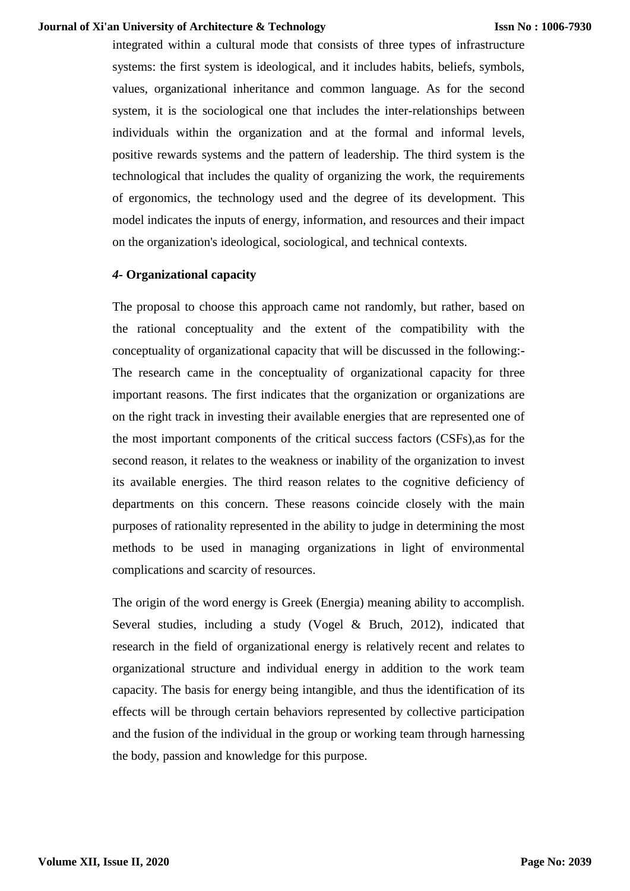integrated within a cultural mode that consists of three types of infrastructure systems: the first system is ideological, and it includes habits, beliefs, symbols, values, organizational inheritance and common language. As for the second system, it is the sociological one that includes the inter-relationships between individuals within the organization and at the formal and informal levels, positive rewards systems and the pattern of leadership. The third system is the technological that includes the quality of organizing the work, the requirements of ergonomics, the technology used and the degree of its development. This model indicates the inputs of energy, information, and resources and their impact on the organization's ideological, sociological, and technical contexts.

# *4-* **Organizational capacity**

The proposal to choose this approach came not randomly, but rather, based on the rational conceptuality and the extent of the compatibility with the conceptuality of organizational capacity that will be discussed in the following:- The research came in the conceptuality of organizational capacity for three important reasons. The first indicates that the organization or organizations are on the right track in investing their available energies that are represented one of the most important components of the critical success factors (CSFs),as for the second reason, it relates to the weakness or inability of the organization to invest its available energies. The third reason relates to the cognitive deficiency of departments on this concern. These reasons coincide closely with the main purposes of rationality represented in the ability to judge in determining the most methods to be used in managing organizations in light of environmental complications and scarcity of resources.

The origin of the word energy is Greek (Energia) meaning ability to accomplish. Several studies, including a study (Vogel & Bruch, 2012), indicated that research in the field of organizational energy is relatively recent and relates to organizational structure and individual energy in addition to the work team capacity. The basis for energy being intangible, and thus the identification of its effects will be through certain behaviors represented by collective participation and the fusion of the individual in the group or working team through harnessing the body, passion and knowledge for this purpose.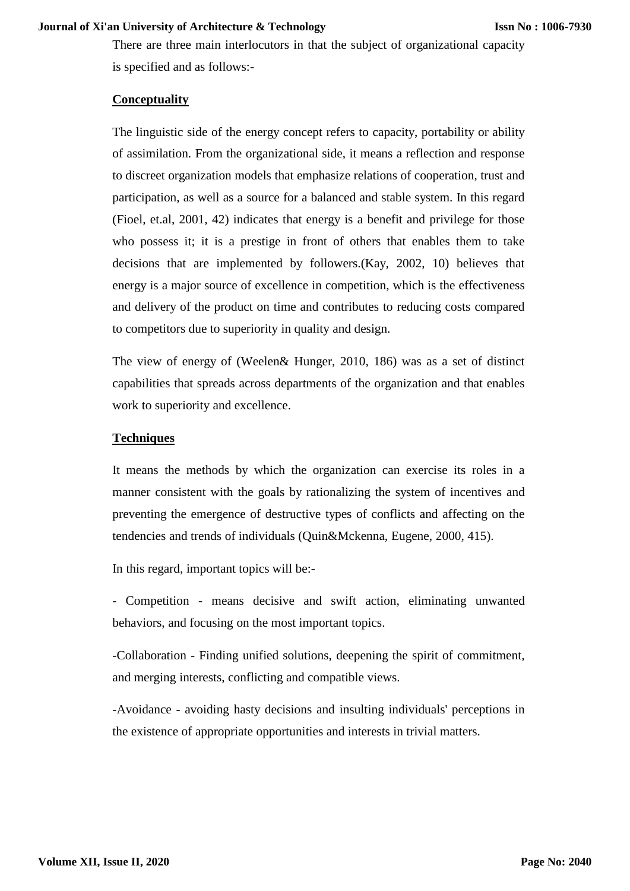There are three main interlocutors in that the subject of organizational capacity is specified and as follows:-

### **Conceptuality**

The linguistic side of the energy concept refers to capacity, portability or ability of assimilation. From the organizational side, it means a reflection and response to discreet organization models that emphasize relations of cooperation, trust and participation, as well as a source for a balanced and stable system. In this regard (Fioel, et.al, 2001, 42) indicates that energy is a benefit and privilege for those who possess it; it is a prestige in front of others that enables them to take decisions that are implemented by followers.(Kay, 2002, 10) believes that energy is a major source of excellence in competition, which is the effectiveness and delivery of the product on time and contributes to reducing costs compared to competitors due to superiority in quality and design.

The view of energy of (Weelen& Hunger, 2010, 186) was as a set of distinct capabilities that spreads across departments of the organization and that enables work to superiority and excellence.

## **Techniques**

It means the methods by which the organization can exercise its roles in a manner consistent with the goals by rationalizing the system of incentives and preventing the emergence of destructive types of conflicts and affecting on the tendencies and trends of individuals (Quin&Mckenna, Eugene, 2000, 415).

In this regard, important topics will be:-

- Competition - means decisive and swift action, eliminating unwanted behaviors, and focusing on the most important topics.

-Collaboration - Finding unified solutions, deepening the spirit of commitment, and merging interests, conflicting and compatible views.

-Avoidance - avoiding hasty decisions and insulting individuals' perceptions in the existence of appropriate opportunities and interests in trivial matters.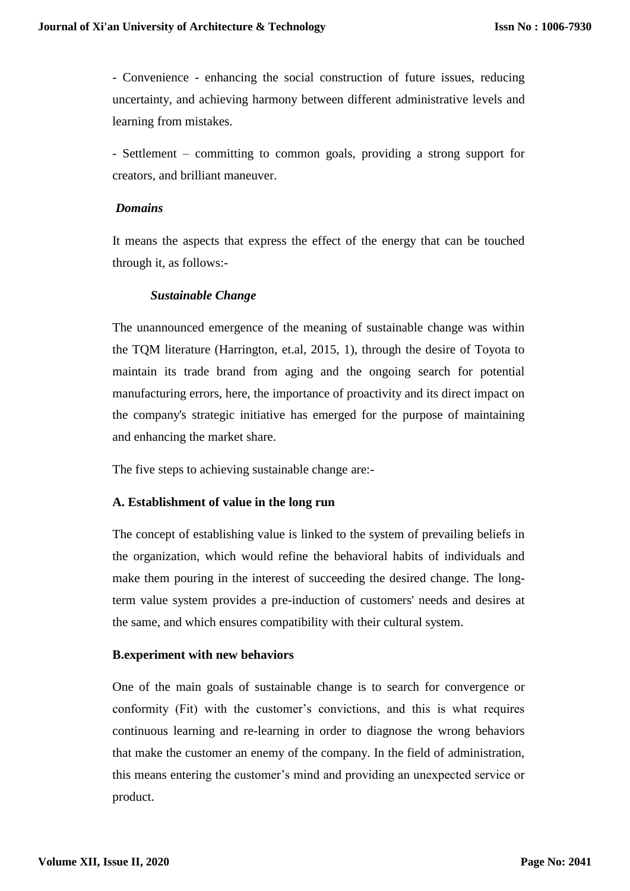- Convenience - enhancing the social construction of future issues, reducing uncertainty, and achieving harmony between different administrative levels and learning from mistakes.

- Settlement – committing to common goals, providing a strong support for creators, and brilliant maneuver.

### *Domains*

It means the aspects that express the effect of the energy that can be touched through it, as follows:-

# *Sustainable Change*

The unannounced emergence of the meaning of sustainable change was within the TQM literature (Harrington, et.al, 2015, 1), through the desire of Toyota to maintain its trade brand from aging and the ongoing search for potential manufacturing errors, here, the importance of proactivity and its direct impact on the company's strategic initiative has emerged for the purpose of maintaining and enhancing the market share.

The five steps to achieving sustainable change are:-

## **A. Establishment of value in the long run**

The concept of establishing value is linked to the system of prevailing beliefs in the organization, which would refine the behavioral habits of individuals and make them pouring in the interest of succeeding the desired change. The longterm value system provides a pre-induction of customers' needs and desires at the same, and which ensures compatibility with their cultural system.

## **B.experiment with new behaviors**

One of the main goals of sustainable change is to search for convergence or conformity (Fit) with the customer's convictions, and this is what requires continuous learning and re-learning in order to diagnose the wrong behaviors that make the customer an enemy of the company. In the field of administration, this means entering the customer's mind and providing an unexpected service or product.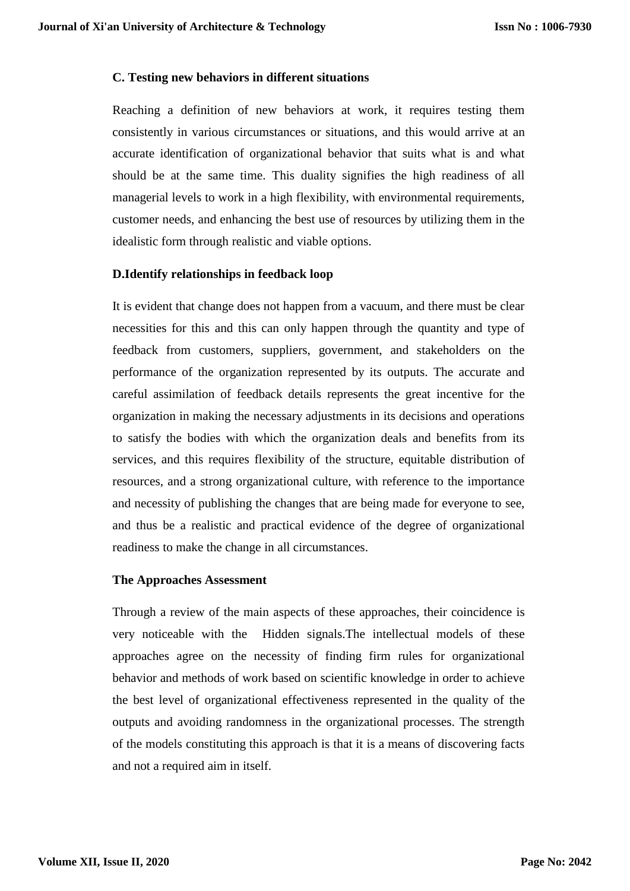### **C. Testing new behaviors in different situations**

Reaching a definition of new behaviors at work, it requires testing them consistently in various circumstances or situations, and this would arrive at an accurate identification of organizational behavior that suits what is and what should be at the same time. This duality signifies the high readiness of all managerial levels to work in a high flexibility, with environmental requirements, customer needs, and enhancing the best use of resources by utilizing them in the idealistic form through realistic and viable options.

### **D.Identify relationships in feedback loop**

It is evident that change does not happen from a vacuum, and there must be clear necessities for this and this can only happen through the quantity and type of feedback from customers, suppliers, government, and stakeholders on the performance of the organization represented by its outputs. The accurate and careful assimilation of feedback details represents the great incentive for the organization in making the necessary adjustments in its decisions and operations to satisfy the bodies with which the organization deals and benefits from its services, and this requires flexibility of the structure, equitable distribution of resources, and a strong organizational culture, with reference to the importance and necessity of publishing the changes that are being made for everyone to see, and thus be a realistic and practical evidence of the degree of organizational readiness to make the change in all circumstances.

#### **The Approaches Assessment**

Through a review of the main aspects of these approaches, their coincidence is very noticeable with the Hidden signals.The intellectual models of these approaches agree on the necessity of finding firm rules for organizational behavior and methods of work based on scientific knowledge in order to achieve the best level of organizational effectiveness represented in the quality of the outputs and avoiding randomness in the organizational processes. The strength of the models constituting this approach is that it is a means of discovering facts and not a required aim in itself.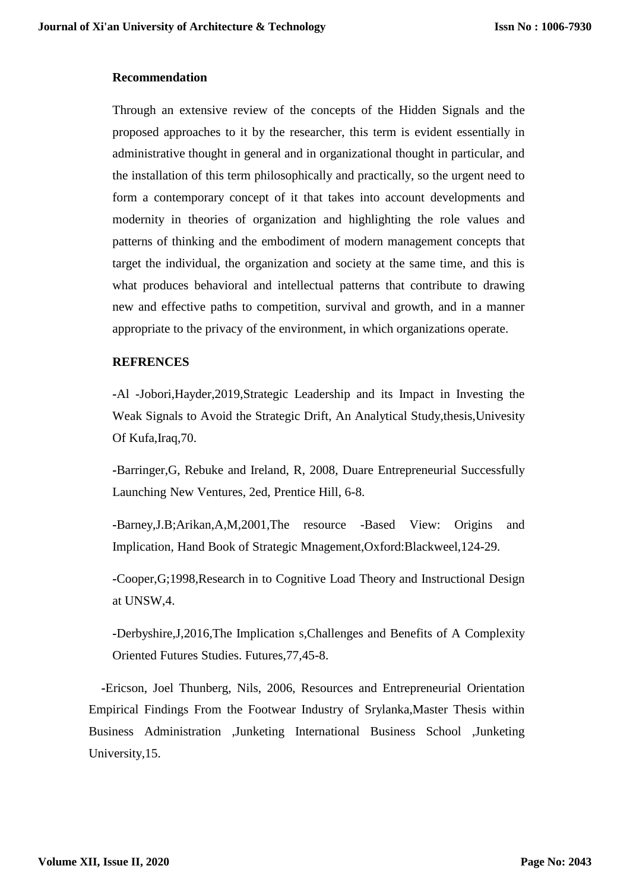#### **Recommendation**

Through an extensive review of the concepts of the Hidden Signals and the proposed approaches to it by the researcher, this term is evident essentially in administrative thought in general and in organizational thought in particular, and the installation of this term philosophically and practically, so the urgent need to form a contemporary concept of it that takes into account developments and modernity in theories of organization and highlighting the role values and patterns of thinking and the embodiment of modern management concepts that target the individual, the organization and society at the same time, and this is what produces behavioral and intellectual patterns that contribute to drawing new and effective paths to competition, survival and growth, and in a manner appropriate to the privacy of the environment, in which organizations operate.

### **REFRENCES**

**-**Al -Jobori,Hayder,2019,Strategic Leadership and its Impact in Investing the Weak Signals to Avoid the Strategic Drift, An Analytical Study,thesis,Univesity Of Kufa,Iraq,70.

**-**Barringer,G, Rebuke and Ireland, R, 2008, Duare Entrepreneurial Successfully Launching New Ventures, 2ed, Prentice Hill, 6-8.

**-**Barney,J.B;Arikan,A,M,2001,The resource -Based View: Origins and Implication, Hand Book of Strategic Mnagement,Oxford:Blackweel,124-29.

**-**Cooper,G;1998,Research in to Cognitive Load Theory and Instructional Design at UNSW,4.

**-**Derbyshire,J,2016,The Implication s,Challenges and Benefits of A Complexity Oriented Futures Studies. Futures,77,45-8.

 **-**Ericson, Joel Thunberg, Nils, 2006, Resources and Entrepreneurial Orientation Empirical Findings From the Footwear Industry of Srylanka,Master Thesis within Business Administration ,Junketing International Business School ,Junketing University,15.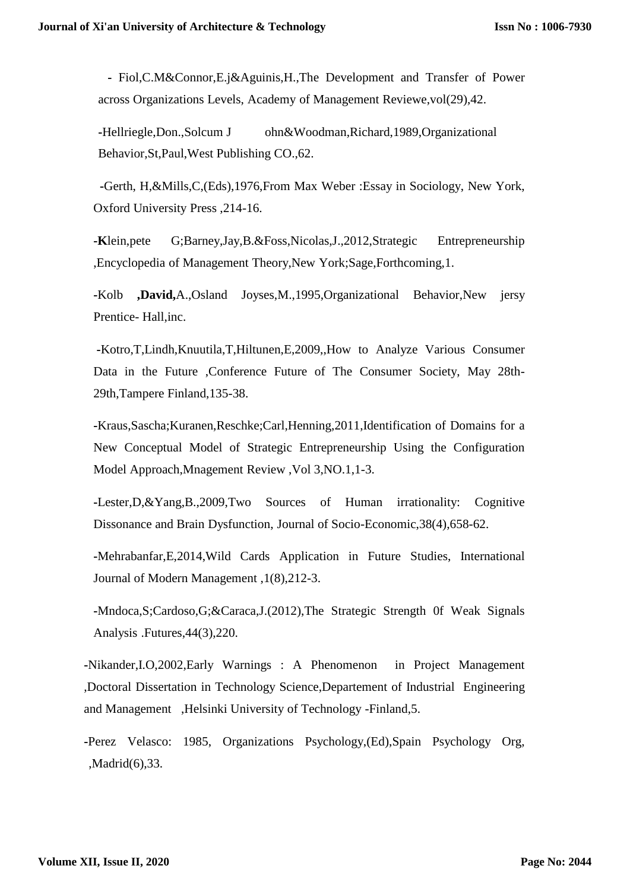**-** Fiol,C.M&Connor,E.j&Aguinis,H.,The Development and Transfer of Power across Organizations Levels, Academy of Management Reviewe,vol(29),42.

**-**Hellriegle,Don.,Solcum J ohn&Woodman,Richard,1989,Organizational Behavior,St,Paul,West Publishing CO.,62.

 **-**Gerth, H,&Mills,C,(Eds),1976,From Max Weber :Essay in Sociology, New York, Oxford University Press ,214-16.

**-K**lein,pete G;Barney,Jay,B.&Foss,Nicolas,J.,2012,Strategic Entrepreneurship ,Encyclopedia of Management Theory,New York;Sage,Forthcoming,1.

**-**Kolb **,David,**A.,Osland Joyses,M.,1995,Organizational Behavior,New jersy Prentice- Hall,inc.

**-**Kotro,T,Lindh,Knuutila,T,Hiltunen,E,2009,,How to Analyze Various Consumer Data in the Future ,Conference Future of The Consumer Society, May 28th-29th,Tampere Finland,135-38.

**-**Kraus,Sascha;Kuranen,Reschke;Carl,Henning,2011,Identification of Domains for a New Conceptual Model of Strategic Entrepreneurship Using the Configuration Model Approach,Mnagement Review ,Vol 3,NO.1,1-3.

**-**Lester,D,&Yang,B.,2009,Two Sources of Human irrationality: Cognitive Dissonance and Brain Dysfunction, Journal of Socio-Economic,38(4),658-62.

**-**Mehrabanfar,E,2014,Wild Cards Application in Future Studies, International Journal of Modern Management ,1(8),212-3.

**-**Mndoca,S;Cardoso,G;&Caraca,J.(2012),The Strategic Strength 0f Weak Signals Analysis .Futures,44(3),220.

**-**Nikander,I.O,2002,Early Warnings : A Phenomenon in Project Management ,Doctoral Dissertation in Technology Science,Departement of Industrial Engineering and Management ,Helsinki University of Technology -Finland,5.

**-**Perez Velasco: 1985, Organizations Psychology,(Ed),Spain Psychology Org, ,Madrid(6),33.